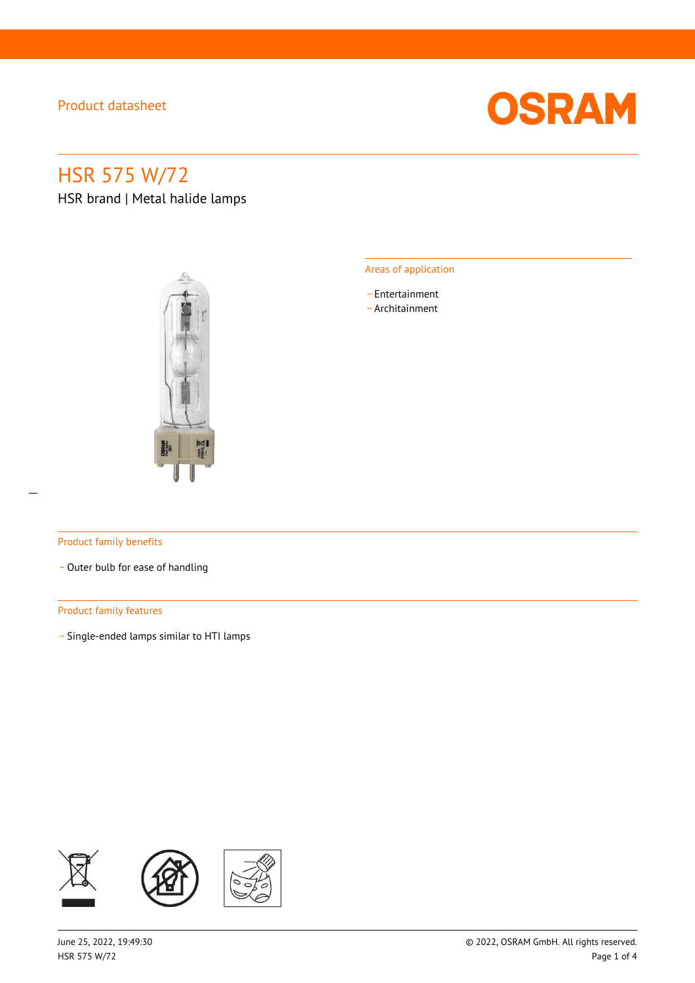

# HSR 575 W/72

HSR brand | Metal halide lamps



### Areas of application

- \_ Entertainment
- \_ Architainment

### Product family benefits

- Outer bulb for ease of handling

### Product family features

\_ Single-ended lamps similar to HTI lamps

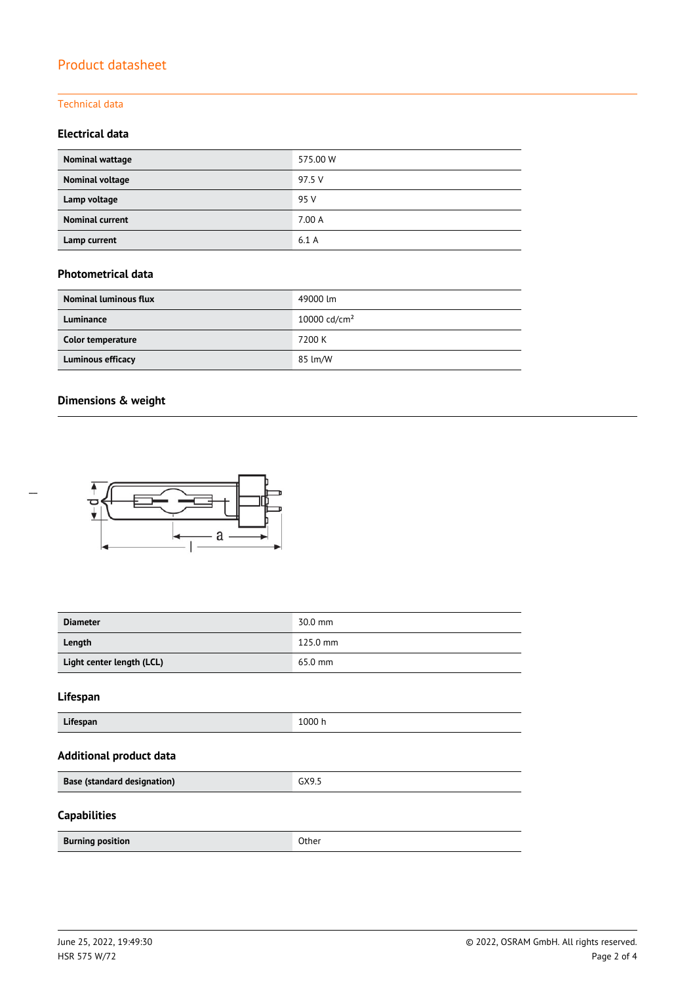### Technical data

### **Electrical data**

| Nominal wattage        | 575.00 W |
|------------------------|----------|
| Nominal voltage        | 97.5 V   |
| Lamp voltage           | 95 V     |
| <b>Nominal current</b> | 7.00 A   |
| Lamp current           | 6.1A     |

### **Photometrical data**

| <b>Nominal luminous flux</b> | 49000 lm                 |
|------------------------------|--------------------------|
| Luminance                    | 10000 cd/cm <sup>2</sup> |
| Color temperature            | 7200 K                   |
| <b>Luminous efficacy</b>     | 85 lm/W                  |

### **Dimensions & weight**

 $\overline{a}$ 



| <b>Diameter</b>                    | 30.0 mm  |
|------------------------------------|----------|
| Length                             | 125.0 mm |
| Light center length (LCL)          | 65.0 mm  |
| Lifespan                           |          |
| Lifespan                           | 1000 h   |
| <b>Additional product data</b>     |          |
| <b>Base (standard designation)</b> | GX9.5    |
| <b>Capabilities</b>                |          |
| <b>Burning position</b>            | Other    |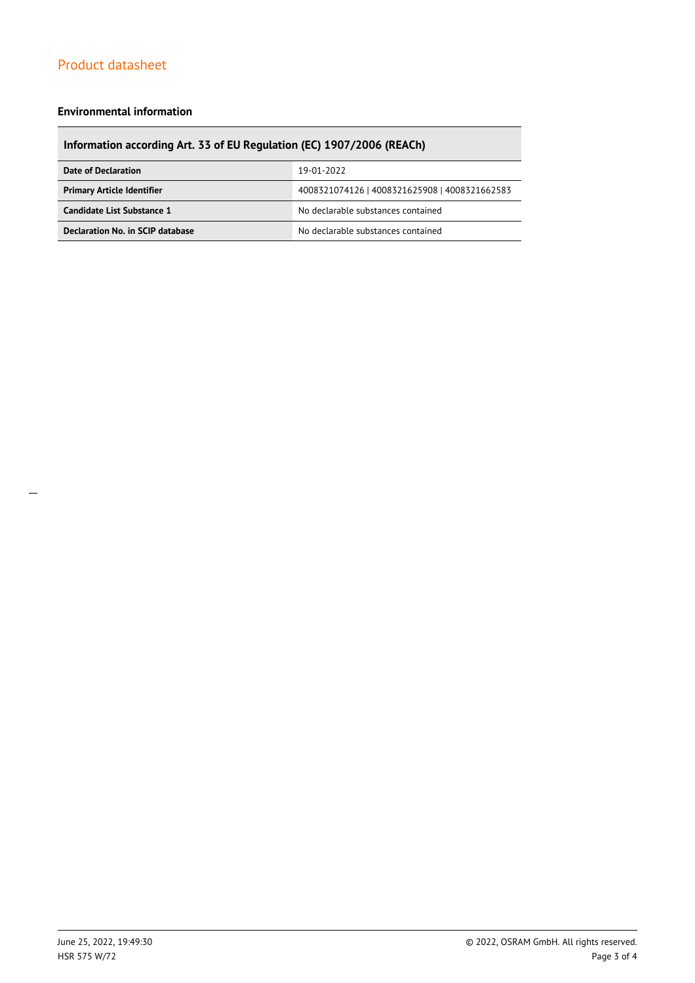### **Environmental information**

### **Information according Art. 33 of EU Regulation (EC) 1907/2006 (REACh)**

| Date of Declaration               | 19-01-2022                                    |  |
|-----------------------------------|-----------------------------------------------|--|
| <b>Primary Article Identifier</b> | 4008321074126   4008321625908   4008321662583 |  |
| Candidate List Substance 1        | No declarable substances contained            |  |
| Declaration No. in SCIP database  | No declarable substances contained            |  |